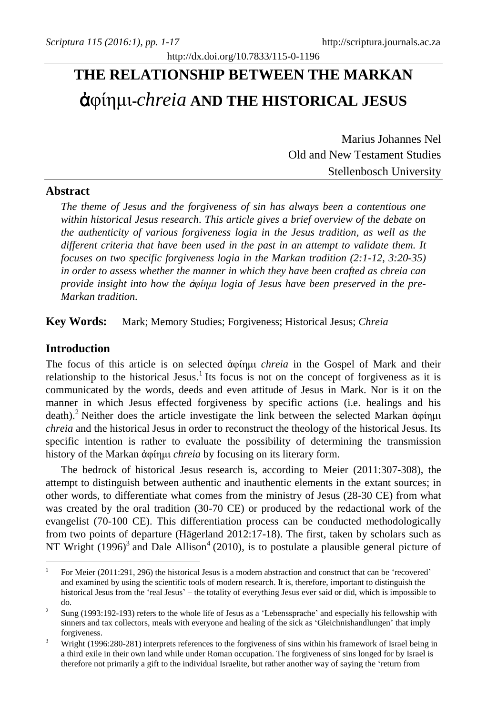# **THE RELATIONSHIP BETWEEN THE MARKAN**  ἀφίημι**-***chreia* **AND THE HISTORICAL JESUS**

http://dx.doi.org/10.7833/115-0-1196

Marius Johannes Nel Old and New Testament Studies Stellenbosch University

# **Abstract**

*The theme of Jesus and the forgiveness of sin has always been a contentious one within historical Jesus research. This article gives a brief overview of the debate on the authenticity of various forgiveness logia in the Jesus tradition, as well as the different criteria that have been used in the past in an attempt to validate them. It focuses on two specific forgiveness logia in the Markan tradition (2:1-12, 3:20-35) in order to assess whether the manner in which they have been crafted as chreia can provide insight into how the* ἀ*φίημι logia of Jesus have been preserved in the pre-Markan tradition.* 

**Key Words:** Mark; Memory Studies; Forgiveness; Historical Jesus; *Chreia*

# **Introduction**

1

The focus of this article is on selected ἀφίημι *chreia* in the Gospel of Mark and their relationship to the historical Jesus.<sup>1</sup> Its focus is not on the concept of forgiveness as it is communicated by the words, deeds and even attitude of Jesus in Mark. Nor is it on the manner in which Jesus effected forgiveness by specific actions (i.e. healings and his death). <sup>2</sup> Neither does the article investigate the link between the selected Markan ἀφίημι *chreia* and the historical Jesus in order to reconstruct the theology of the historical Jesus. Its specific intention is rather to evaluate the possibility of determining the transmission history of the Markan ἀφίημι *chreia* by focusing on its literary form.

The bedrock of historical Jesus research is, according to Meier (2011:307-308), the attempt to distinguish between authentic and inauthentic elements in the extant sources; in other words, to differentiate what comes from the ministry of Jesus (28-30 CE) from what was created by the oral tradition (30-70 CE) or produced by the redactional work of the evangelist (70-100 CE). This differentiation process can be conducted methodologically from two points of departure (Hägerland 2012:17-18). The first, taken by scholars such as NT Wright  $(1996)^3$  and Dale Allison<sup>4</sup> (2010), is to postulate a plausible general picture of

<sup>1</sup> For Meier (2011:291, 296) the historical Jesus is a modern abstraction and construct that can be 'recovered' and examined by using the scientific tools of modern research. It is, therefore, important to distinguish the historical Jesus from the 'real Jesus' – the totality of everything Jesus ever said or did, which is impossible to do.

 $\overline{2}$ Sung (1993:192-193) refers to the whole life of Jesus as a 'Lebenssprache' and especially his fellowship with sinners and tax collectors, meals with everyone and healing of the sick as 'Gleichnishandlungen' that imply forgiveness.

<sup>3</sup> Wright (1996:280-281) interprets references to the forgiveness of sins within his framework of Israel being in a third exile in their own land while under Roman occupation. The forgiveness of sins longed for by Israel is therefore not primarily a gift to the individual Israelite, but rather another way of saying the 'return from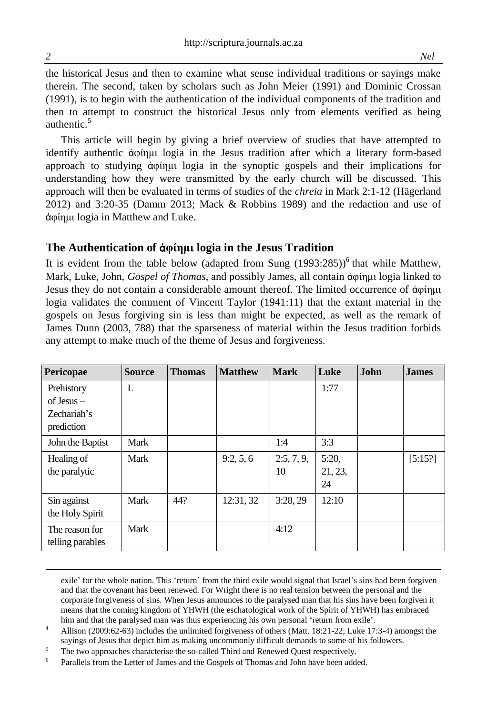the historical Jesus and then to examine what sense individual traditions or sayings make therein. The second, taken by scholars such as John Meier (1991) and Dominic Crossan (1991), is to begin with the authentication of the individual components of the tradition and then to attempt to construct the historical Jesus only from elements verified as being authentic $\frac{5}{3}$ 

This article will begin by giving a brief overview of studies that have attempted to identify authentic ἀφίημι logia in the Jesus tradition after which a literary form-based approach to studying ἀφίημι logia in the synoptic gospels and their implications for understanding how they were transmitted by the early church will be discussed. This approach will then be evaluated in terms of studies of the *chreia* in Mark 2:1-12 (Hägerland 2012) and 3:20-35 (Damm 2013; Mack & Robbins 1989) and the redaction and use of ἀφίημι logia in Matthew and Luke.

# **The Authentication of** ἀ**φίημι logia in the Jesus Tradition**

It is evident from the table below (adapted from Sung  $(1993:285)$ <sup>6</sup> that while Matthew, Mark, Luke, John, *Gospel of Thomas*, and possibly James, all contain ἀφίημι logia linked to Jesus they do not contain a considerable amount thereof. The limited occurrence of ἀφίημι logia validates the comment of Vincent Taylor (1941:11) that the extant material in the gospels on Jesus forgiving sin is less than might be expected, as well as the remark of James Dunn (2003, 788) that the sparseness of material within the Jesus tradition forbids any attempt to make much of the theme of Jesus and forgiveness.

| Pericopae                                               | <b>Source</b> | <b>Thomas</b> | <b>Matthew</b> | <b>Mark</b>      | Luke                  | <b>John</b> | <b>James</b> |
|---------------------------------------------------------|---------------|---------------|----------------|------------------|-----------------------|-------------|--------------|
| Prehistory<br>$of Jesus -$<br>Zechariah's<br>prediction | L             |               |                |                  | 1:77                  |             |              |
| John the Baptist                                        | Mark          |               |                | 1:4              | 3:3                   |             |              |
| Healing of<br>the paralytic                             | Mark          |               | 9:2, 5, 6      | 2:5, 7, 9,<br>10 | 5:20<br>21, 23,<br>24 |             | [5:15?]      |
| Sin against<br>the Holy Spirit                          | Mark          | 44?           | 12:31, 32      | 3:28,29          | 12:10                 |             |              |
| The reason for<br>telling parables                      | Mark          |               |                | 4:12             |                       |             |              |

exile' for the whole nation. This 'return' from the third exile would signal that Israel's sins had been forgiven and that the covenant has been renewed. For Wright there is no real tension between the personal and the corporate forgiveness of sins. When Jesus announces to the paralysed man that his sins have been forgiven it means that the coming kingdom of YHWH (the eschatological work of the Spirit of YHWH) has embraced him and that the paralysed man was thus experiencing his own personal 'return from exile'.

<sup>4</sup> Allison (2009:62-63) includes the unlimited forgiveness of others (Matt. 18:21-22; Luke 17:3-4) amongst the sayings of Jesus that depict him as making uncommonly difficult demands to some of his followers.

- <sup>5</sup> The two approaches characterise the so-called Third and Renewed Quest respectively.
- 6 Parallels from the Letter of James and the Gospels of Thomas and John have been added.

 $\overline{a}$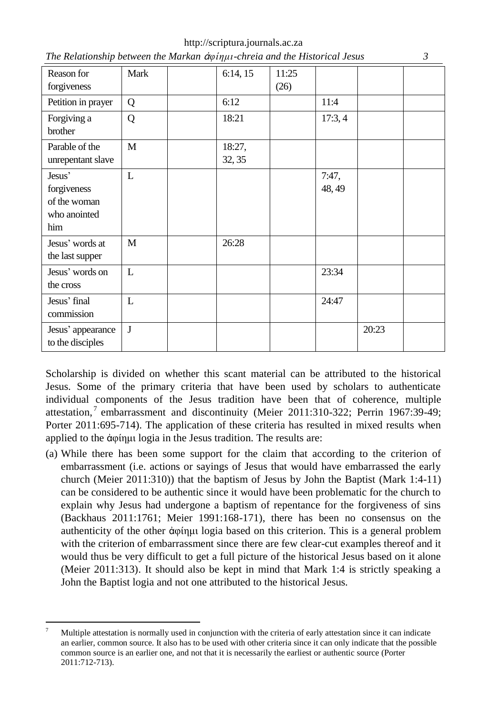| http://scriptura.journals.ac.za                                                    |  |
|------------------------------------------------------------------------------------|--|
| The Relationship between the Markan <i>d</i> oinun-chreia and the Historical Jesus |  |

| Reason for<br>forgiveness                                    | Mark | 6:14, 15         | 11:25<br>(26) |                 |       |  |
|--------------------------------------------------------------|------|------------------|---------------|-----------------|-------|--|
| Petition in prayer                                           | Q    | 6:12             |               | 11:4            |       |  |
| Forgiving a<br>brother                                       | Q    | 18:21            |               | 17:3,4          |       |  |
| Parable of the<br>unrepentant slave                          | M    | 18:27,<br>32, 35 |               |                 |       |  |
| Jesus'<br>forgiveness<br>of the woman<br>who anointed<br>him | L    |                  |               | 7:47,<br>48, 49 |       |  |
| Jesus' words at<br>the last supper                           | M    | 26:28            |               |                 |       |  |
| Jesus' words on<br>the cross                                 | L    |                  |               | 23:34           |       |  |
| Jesus' final<br>commission                                   | L    |                  |               | 24:47           |       |  |
| Jesus' appearance<br>to the disciples                        | J    |                  |               |                 | 20:23 |  |

Scholarship is divided on whether this scant material can be attributed to the historical Jesus. Some of the primary criteria that have been used by scholars to authenticate individual components of the Jesus tradition have been that of coherence, multiple attestation,<sup>7</sup> embarrassment and discontinuity (Meier 2011:310-322; Perrin 1967:39-49; Porter 2011:695-714). The application of these criteria has resulted in mixed results when applied to the ἀφίημι logia in the Jesus tradition. The results are:

(a) While there has been some support for the claim that according to the criterion of embarrassment (i.e. actions or sayings of Jesus that would have embarrassed the early church (Meier 2011:310)) that the baptism of Jesus by John the Baptist (Mark 1:4-11) can be considered to be authentic since it would have been problematic for the church to explain why Jesus had undergone a baptism of repentance for the forgiveness of sins (Backhaus 2011:1761; Meier 1991:168-171), there has been no consensus on the authenticity of the other ἀφίημι logia based on this criterion. This is a general problem with the criterion of embarrassment since there are few clear-cut examples thereof and it would thus be very difficult to get a full picture of the historical Jesus based on it alone (Meier 2011:313). It should also be kept in mind that Mark 1:4 is strictly speaking a John the Baptist logia and not one attributed to the historical Jesus.

1

<sup>7</sup> Multiple attestation is normally used in conjunction with the criteria of early attestation since it can indicate an earlier, common source. It also has to be used with other criteria since it can only indicate that the possible common source is an earlier one, and not that it is necessarily the earliest or authentic source (Porter 2011:712-713).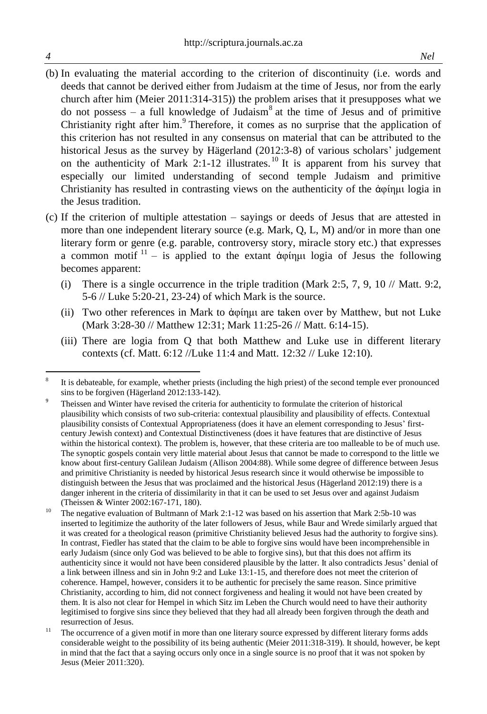- (b) In evaluating the material according to the criterion of discontinuity (i.e. words and deeds that cannot be derived either from Judaism at the time of Jesus, nor from the early church after him (Meier 2011:314-315)) the problem arises that it presupposes what we do not possess  $-$  a full knowledge of Judaism<sup>8</sup> at the time of Jesus and of primitive Christianity right after him.<sup>9</sup> Therefore, it comes as no surprise that the application of this criterion has not resulted in any consensus on material that can be attributed to the historical Jesus as the survey by Hägerland (2012:3-8) of various scholars' judgement on the authenticity of Mark 2:1-12 illustrates.<sup>10</sup> It is apparent from his survey that especially our limited understanding of second temple Judaism and primitive Christianity has resulted in contrasting views on the authenticity of the ἀφίημι logia in the Jesus tradition.
- (c) If the criterion of multiple attestation sayings or deeds of Jesus that are attested in more than one independent literary source (e.g. Mark, Q, L, M) and/or in more than one literary form or genre (e.g. parable, controversy story, miracle story etc.) that expresses a common motif  $11 -$  is applied to the extant άφίημι logia of Jesus the following becomes apparent:
	- (i) There is a single occurrence in the triple tradition (Mark 2:5, 7, 9, 10  $\text{/}$  Matt. 9:2, 5-6 // Luke 5:20-21, 23-24) of which Mark is the source.
	- (ii) Two other references in Mark to ἀφίημι are taken over by Matthew, but not Luke (Mark 3:28-30 // Matthew 12:31; Mark 11:25-26 // Matt. 6:14-15).
	- (iii) There are logia from Q that both Matthew and Luke use in different literary contexts (cf. Matt. 6:12 //Luke 11:4 and Matt. 12:32 // Luke 12:10).

 8 It is debateable, for example, whether priests (including the high priest) of the second temple ever pronounced sins to be forgiven (Hägerland 2012:133-142).

<sup>9</sup> Theissen and Winter have revised the criteria for authenticity to formulate the criterion of historical plausibility which consists of two sub-criteria: contextual plausibility and plausibility of effects. Contextual plausibility consists of Contextual Appropriateness (does it have an element corresponding to Jesus' firstcentury Jewish context) and Contextual Distinctiveness (does it have features that are distinctive of Jesus within the historical context). The problem is, however, that these criteria are too malleable to be of much use. The synoptic gospels contain very little material about Jesus that cannot be made to correspond to the little we know about first-century Galilean Judaism (Allison 2004:88). While some degree of difference between Jesus and primitive Christianity is needed by historical Jesus research since it would otherwise be impossible to distinguish between the Jesus that was proclaimed and the historical Jesus (Hägerland 2012:19) there is a danger inherent in the criteria of dissimilarity in that it can be used to set Jesus over and against Judaism (Theissen & Winter 2002:167-171, 180).

<sup>&</sup>lt;sup>10</sup> The negative evaluation of Bultmann of Mark 2:1-12 was based on his assertion that Mark 2:5b-10 was inserted to legitimize the authority of the later followers of Jesus, while Baur and Wrede similarly argued that it was created for a theological reason (primitive Christianity believed Jesus had the authority to forgive sins). In contrast, Fiedler has stated that the claim to be able to forgive sins would have been incomprehensible in early Judaism (since only God was believed to be able to forgive sins), but that this does not affirm its authenticity since it would not have been considered plausible by the latter. It also contradicts Jesus' denial of a link between illness and sin in John 9:2 and Luke 13:1-15, and therefore does not meet the criterion of coherence. Hampel, however, considers it to be authentic for precisely the same reason. Since primitive Christianity, according to him, did not connect forgiveness and healing it would not have been created by them. It is also not clear for Hempel in which Sitz im Leben the Church would need to have their authority legitimised to forgive sins since they believed that they had all already been forgiven through the death and resurrection of Jesus.

<sup>&</sup>lt;sup>11</sup> The occurrence of a given motif in more than one literary source expressed by different literary forms adds considerable weight to the possibility of its being authentic (Meier 2011:318-319). It should, however, be kept in mind that the fact that a saying occurs only once in a single source is no proof that it was not spoken by Jesus (Meier 2011:320).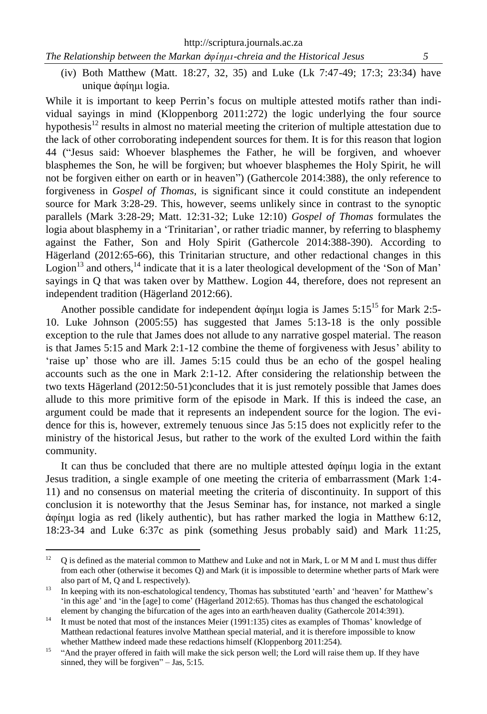(iv) Both Matthew (Matt. 18:27, 32, 35) and Luke (Lk 7:47-49; 17:3; 23:34) have unique ἀφίημι logia.

While it is important to keep Perrin's focus on multiple attested motifs rather than individual sayings in mind (Kloppenborg 2011:272) the logic underlying the four source hypothesis<sup>12</sup> results in almost no material meeting the criterion of multiple attestation due to the lack of other corroborating independent sources for them. It is for this reason that logion 44 ("Jesus said: Whoever blasphemes the Father, he will be forgiven, and whoever blasphemes the Son, he will be forgiven; but whoever blasphemes the Holy Spirit, he will not be forgiven either on earth or in heaven") (Gathercole 2014:388), the only reference to forgiveness in *Gospel of Thomas,* is significant since it could constitute an independent source for Mark 3:28-29. This, however, seems unlikely since in contrast to the synoptic parallels (Mark 3:28-29; Matt. 12:31-32; Luke 12:10) *Gospel of Thomas* formulates the logia about blasphemy in a 'Trinitarian', or rather triadic manner, by referring to blasphemy against the Father, Son and Holy Spirit (Gathercole 2014:388-390). According to Hägerland (2012:65-66), this Trinitarian structure, and other redactional changes in this Logion<sup>13</sup> and others, <sup>14</sup> indicate that it is a later theological development of the 'Son of Man' sayings in Q that was taken over by Matthew. Logion 44, therefore, does not represent an independent tradition (Hägerland 2012:66).

Another possible candidate for independent ἀφίημι logia is James 5:15<sup>15</sup> for Mark 2:5- 10. Luke Johnson (2005:55) has suggested that James 5:13-18 is the only possible exception to the rule that James does not allude to any narrative gospel material. The reason is that James 5:15 and Mark 2:1-12 combine the theme of forgiveness with Jesus' ability to 'raise up' those who are ill. James 5:15 could thus be an echo of the gospel healing accounts such as the one in Mark 2:1-12. After considering the relationship between the two texts Hägerland (2012:50-51)concludes that it is just remotely possible that James does allude to this more primitive form of the episode in Mark. If this is indeed the case, an argument could be made that it represents an independent source for the logion. The evidence for this is, however, extremely tenuous since Jas 5:15 does not explicitly refer to the ministry of the historical Jesus, but rather to the work of the exulted Lord within the faith community.

It can thus be concluded that there are no multiple attested ἀφίημι logia in the extant Jesus tradition, a single example of one meeting the criteria of embarrassment (Mark 1:4- 11) and no consensus on material meeting the criteria of discontinuity. In support of this conclusion it is noteworthy that the Jesus Seminar has, for instance, not marked a single ἀφίημι logia as red (likely authentic), but has rather marked the logia in Matthew 6:12, 18:23-34 and Luke 6:37c as pink (something Jesus probably said) and Mark 11:25,

<sup>12</sup> <sup>12</sup> Q is defined as the material common to Matthew and Luke and not in Mark, L or M M and L must thus differ from each other (otherwise it becomes Q) and Mark (it is impossible to determine whether parts of Mark were also part of M, Q and L respectively).

<sup>&</sup>lt;sup>13</sup> In keeping with its non-eschatological tendency, Thomas has substituted 'earth' and 'heaven' for Matthew's 'in this age' and 'in the [age] to come' (Hägerland 2012:65). Thomas has thus changed the eschatological element by changing the bifurcation of the ages into an earth/heaven duality (Gathercole 2014:391).

<sup>&</sup>lt;sup>14</sup> It must be noted that most of the instances Meier (1991:135) cites as examples of Thomas' knowledge of Matthean redactional features involve Matthean special material, and it is therefore impossible to know whether Matthew indeed made these redactions himself (Kloppenborg 2011:254).

<sup>&</sup>lt;sup>15</sup> "And the prayer offered in faith will make the sick person well; the Lord will raise them up. If they have sinned, they will be forgiven" – Jas, 5:15.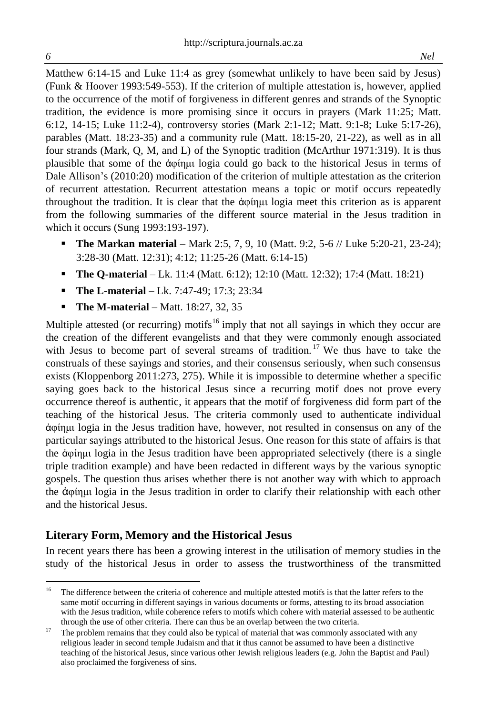Matthew 6:14-15 and Luke 11:4 as grey (somewhat unlikely to have been said by Jesus) (Funk & Hoover 1993:549-553). If the criterion of multiple attestation is, however, applied to the occurrence of the motif of forgiveness in different genres and strands of the Synoptic tradition, the evidence is more promising since it occurs in prayers (Mark 11:25; Matt. 6:12, 14-15; Luke 11:2-4), controversy stories (Mark 2:1-12; Matt. 9:1-8; Luke 5:17-26), parables (Matt. 18:23-35) and a community rule (Matt. 18:15-20, 21-22), as well as in all four strands (Mark, Q, M, and L) of the Synoptic tradition (McArthur 1971:319). It is thus plausible that some of the ἀφίημι logia could go back to the historical Jesus in terms of Dale Allison's (2010:20) modification of the criterion of multiple attestation as the criterion of recurrent attestation. Recurrent attestation means a topic or motif occurs repeatedly throughout the tradition. It is clear that the ἀφίημι logia meet this criterion as is apparent from the following summaries of the different source material in the Jesus tradition in which it occurs (Sung 1993:193-197).

- **The Markan material** Mark 2:5, 7, 9, 10 (Matt. 9:2, 5-6 // Luke 5:20-21, 23-24); 3:28-30 (Matt. 12:31); 4:12; 11:25-26 (Matt. 6:14-15)
- **The Q-material** Lk. 11:4 (Matt. 6:12); 12:10 (Matt. 12:32); 17:4 (Matt. 18:21)
- **The L-material** Lk. 7:47-49; 17:3; 23:34
- **The M-material** Matt. 18:27, 32, 35

Multiple attested (or recurring) motifs<sup>16</sup> imply that not all sayings in which they occur are the creation of the different evangelists and that they were commonly enough associated with Jesus to become part of several streams of tradition.<sup>17</sup> We thus have to take the construals of these sayings and stories, and their consensus seriously, when such consensus exists (Kloppenborg 2011:273, 275). While it is impossible to determine whether a specific saying goes back to the historical Jesus since a recurring motif does not prove every occurrence thereof is authentic, it appears that the motif of forgiveness did form part of the teaching of the historical Jesus. The criteria commonly used to authenticate individual ἀφίημι logia in the Jesus tradition have, however, not resulted in consensus on any of the particular sayings attributed to the historical Jesus. One reason for this state of affairs is that the ἀφίημι logia in the Jesus tradition have been appropriated selectively (there is a single triple tradition example) and have been redacted in different ways by the various synoptic gospels. The question thus arises whether there is not another way with which to approach the ἀφίημι logia in the Jesus tradition in order to clarify their relationship with each other and the historical Jesus.

# **Literary Form, Memory and the Historical Jesus**

In recent years there has been a growing interest in the utilisation of memory studies in the study of the historical Jesus in order to assess the trustworthiness of the transmitted

 $\overline{a}$ 

<sup>&</sup>lt;sup>16</sup> The difference between the criteria of coherence and multiple attested motifs is that the latter refers to the same motif occurring in different sayings in various documents or forms, attesting to its broad association with the Jesus tradition, while coherence refers to motifs which cohere with material assessed to be authentic through the use of other criteria. There can thus be an overlap between the two criteria.

<sup>&</sup>lt;sup>17</sup> The problem remains that they could also be typical of material that was commonly associated with any religious leader in second temple Judaism and that it thus cannot be assumed to have been a distinctive teaching of the historical Jesus, since various other Jewish religious leaders (e.g. John the Baptist and Paul) also proclaimed the forgiveness of sins.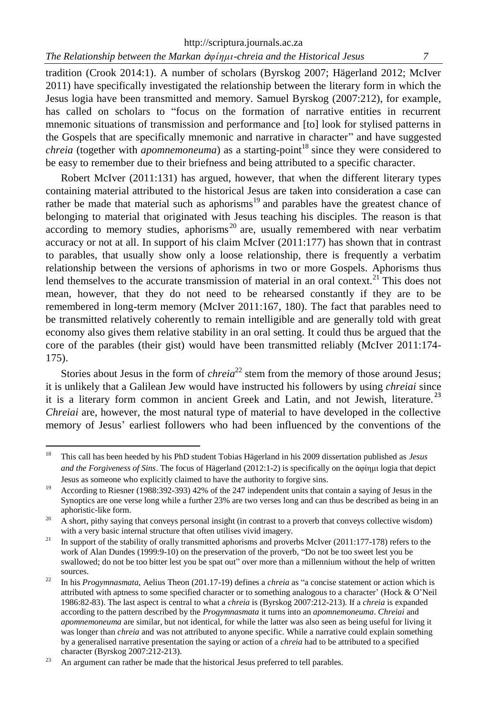tradition (Crook 2014:1). A number of scholars (Byrskog 2007; Hägerland 2012; McIver 2011) have specifically investigated the relationship between the literary form in which the Jesus logia have been transmitted and memory. Samuel Byrskog (2007:212), for example, has called on scholars to "focus on the formation of narrative entities in recurrent mnemonic situations of transmission and performance and [to] look for stylised patterns in the Gospels that are specifically mnemonic and narrative in character" and have suggested *chreia* (together with *apomnemoneuma*) as a starting-point<sup>18</sup> since they were considered to be easy to remember due to their briefness and being attributed to a specific character.

Robert McIver (2011:131) has argued, however, that when the different literary types containing material attributed to the historical Jesus are taken into consideration a case can rather be made that material such as aphorisms<sup>19</sup> and parables have the greatest chance of belonging to material that originated with Jesus teaching his disciples. The reason is that according to memory studies, aphorisms<sup>20</sup> are, usually remembered with near verbatim accuracy or not at all. In support of his claim McIver (2011:177) has shown that in contrast to parables, that usually show only a loose relationship, there is frequently a verbatim relationship between the versions of aphorisms in two or more Gospels. Aphorisms thus lend themselves to the accurate transmission of material in an oral context.<sup>21</sup> This does not mean, however, that they do not need to be rehearsed constantly if they are to be remembered in long-term memory (McIver 2011:167, 180). The fact that parables need to be transmitted relatively coherently to remain intelligible and are generally told with great economy also gives them relative stability in an oral setting. It could thus be argued that the core of the parables (their gist) would have been transmitted reliably (McIver 2011:174- 175).

Stories about Jesus in the form of *chreia*<sup>22</sup> stem from the memory of those around Jesus; it is unlikely that a Galilean Jew would have instructed his followers by using *chreiai* since it is a literary form common in ancient Greek and Latin, and not Jewish, literature.<sup>23</sup> *Chreiai* are, however, the most natural type of material to have developed in the collective memory of Jesus' earliest followers who had been influenced by the conventions of the

<sup>18</sup> <sup>18</sup> This call has been heeded by his PhD student Tobias Hägerland in his 2009 dissertation published as *Jesus and the Forgiveness of Sins*. The focus of Hägerland (2012:1-2) is specifically on the ἀφίημι logia that depict Jesus as someone who explicitly claimed to have the authority to forgive sins.

<sup>&</sup>lt;sup>19</sup> According to Riesner (1988:392-393) 42% of the 247 independent units that contain a saying of Jesus in the Synoptics are one verse long while a further 23% are two verses long and can thus be described as being in an aphoristic-like form.

 $^{20}$  A short, pithy saying that conveys personal insight (in contrast to a proverb that conveys collective wisdom) with a very basic internal structure that often utilises vivid imagery.

<sup>&</sup>lt;sup>21</sup> In support of the stability of orally transmitted aphorisms and proverbs McIver (2011:177-178) refers to the work of Alan Dundes (1999:9-10) on the preservation of the proverb, "Do not be too sweet lest you be swallowed; do not be too bitter lest you be spat out" over more than a millennium without the help of written sources.

<sup>22</sup> In his *Progymnasmata,* Aelius Theon (201.17-19) defines a *chreia* as "a concise statement or action which is attributed with aptness to some specified character or to something analogous to a character' (Hock & O'Neil 1986:82-83). The last aspect is central to what a *chreia* is (Byrskog 2007:212-213). If a *chreia* is expanded according to the pattern described by the *Progymnasmata* it turns into an *apomnemoneuma*. *Chreiai* and *apomnemoneuma* are similar, but not identical, for while the latter was also seen as being useful for living it was longer than *chreia* and was not attributed to anyone specific. While a narrative could explain something by a generalised narrative presentation the saying or action of a *chreia* had to be attributed to a specified character (Byrskog 2007:212-213).

 $23$  An argument can rather be made that the historical Jesus preferred to tell parables.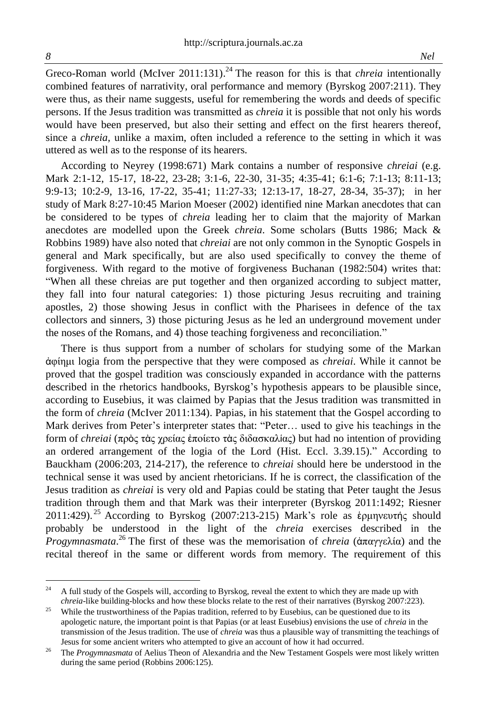Greco-Roman world (McIver 2011:131). <sup>24</sup> The reason for this is that *chreia* intentionally combined features of narrativity, oral performance and memory (Byrskog 2007:211). They were thus, as their name suggests, useful for remembering the words and deeds of specific persons. If the Jesus tradition was transmitted as *chreia* it is possible that not only his words would have been preserved, but also their setting and effect on the first hearers thereof, since a *chreia,* unlike a maxim, often included a reference to the setting in which it was uttered as well as to the response of its hearers.

According to Neyrey (1998:671) Mark contains a number of responsive *chreiai* (e.g. Mark 2:1-12, 15-17, 18-22, 23-28; 3:1-6, 22-30, 31-35; 4:35-41; 6:1-6; 7:1-13; 8:11-13; 9:9-13; 10:2-9, 13-16, 17-22, 35-41; 11:27-33; 12:13-17, 18-27, 28-34, 35-37); in her study of Mark 8:27-10:45 Marion Moeser (2002) identified nine Markan anecdotes that can be considered to be types of *chreia* leading her to claim that the majority of Markan anecdotes are modelled upon the Greek *chreia*. Some scholars (Butts 1986; Mack & Robbins 1989) have also noted that *chreiai* are not only common in the Synoptic Gospels in general and Mark specifically, but are also used specifically to convey the theme of forgiveness. With regard to the motive of forgiveness Buchanan (1982:504) writes that: "When all these chreias are put together and then organized according to subject matter, they fall into four natural categories: 1) those picturing Jesus recruiting and training apostles, 2) those showing Jesus in conflict with the Pharisees in defence of the tax collectors and sinners, 3) those picturing Jesus as he led an underground movement under the noses of the Romans, and 4) those teaching forgiveness and reconciliation."

There is thus support from a number of scholars for studying some of the Markan ἀφίημι logia from the perspective that they were composed as *chreiai*. While it cannot be proved that the gospel tradition was consciously expanded in accordance with the patterns described in the rhetorics handbooks, Byrskog's hypothesis appears to be plausible since, according to Eusebius, it was claimed by Papias that the Jesus tradition was transmitted in the form of *chreia* (McIver 2011:134). Papias, in his statement that the Gospel according to Mark derives from Peter's interpreter states that: "Peter… used to give his teachings in the form of *chreiai* (πρὸς τὰς χρείας ἐποίετο τὰς διδασκαλίας) but had no intention of providing an ordered arrangement of the logia of the Lord (Hist. Eccl. 3.39.15)." According to Bauckham (2006:203, 214-217), the reference to *chreiai* should here be understood in the technical sense it was used by ancient rhetoricians. If he is correct, the classification of the Jesus tradition as *chreiai* is very old and Papias could be stating that Peter taught the Jesus tradition through them and that Mark was their interpreter (Byrskog 2011:1492; Riesner 2011:429).<sup>25</sup> According to Byrskog (2007:213-215) Mark's role as έρμηνευτής should probably be understood in the light of the *chreia* exercises described in the *Progymnasmata*. <sup>26</sup> The first of these was the memorisation of *chreia* (ἀπαγγελία) and the recital thereof in the same or different words from memory. The requirement of this

 $24$ <sup>24</sup> A full study of the Gospels will, according to Byrskog, reveal the extent to which they are made up with *chreia*-like building-blocks and how these blocks relate to the rest of their narratives (Byrskog 2007:223).

<sup>&</sup>lt;sup>25</sup> While the trustworthiness of the Papias tradition, referred to by Eusebius, can be questioned due to its apologetic nature, the important point is that Papias (or at least Eusebius) envisions the use of *chreia* in the transmission of the Jesus tradition. The use of *chreia* was thus a plausible way of transmitting the teachings of Jesus for some ancient writers who attempted to give an account of how it had occurred.

<sup>&</sup>lt;sup>26</sup> The *Progymnasmata* of Aelius Theon of Alexandria and the New Testament Gospels were most likely written during the same period (Robbins 2006:125).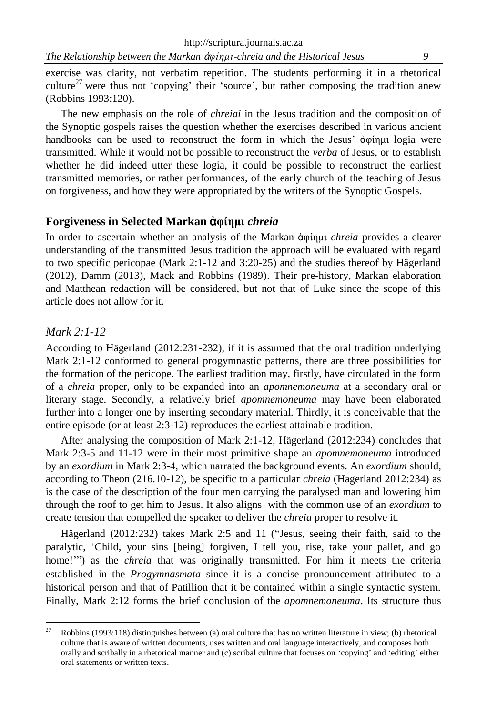exercise was clarity, not verbatim repetition. The students performing it in a rhetorical culture<sup>27</sup> were thus not 'copying' their 'source', but rather composing the tradition anew (Robbins 1993:120).

The new emphasis on the role of *chreiai* in the Jesus tradition and the composition of the Synoptic gospels raises the question whether the exercises described in various ancient handbooks can be used to reconstruct the form in which the Jesus' ἀφίημι logia were transmitted. While it would not be possible to reconstruct the *verba* of Jesus, or to establish whether he did indeed utter these logia, it could be possible to reconstruct the earliest transmitted memories, or rather performances, of the early church of the teaching of Jesus on forgiveness, and how they were appropriated by the writers of the Synoptic Gospels.

## **Forgiveness in Selected Markan** ἀ**φίημι** *chreia*

In order to ascertain whether an analysis of the Markan ἀφίημι *chreia* provides a clearer understanding of the transmitted Jesus tradition the approach will be evaluated with regard to two specific pericopae (Mark 2:1-12 and 3:20-25) and the studies thereof by Hägerland (2012), Damm (2013), Mack and Robbins (1989). Their pre-history, Markan elaboration and Matthean redaction will be considered, but not that of Luke since the scope of this article does not allow for it.

#### *Mark 2:1-12*

According to Hägerland (2012:231-232), if it is assumed that the oral tradition underlying Mark 2:1-12 conformed to general progymnastic patterns, there are three possibilities for the formation of the pericope. The earliest tradition may, firstly, have circulated in the form of a *chreia* proper, only to be expanded into an *apomnemoneuma* at a secondary oral or literary stage. Secondly, a relatively brief *apomnemoneuma* may have been elaborated further into a longer one by inserting secondary material. Thirdly, it is conceivable that the entire episode (or at least 2:3-12) reproduces the earliest attainable tradition.

After analysing the composition of Mark 2:1-12, Hägerland (2012:234) concludes that Mark 2:3-5 and 11-12 were in their most primitive shape an *apomnemoneuma* introduced by an *exordium* in Mark 2:3-4, which narrated the background events. An *exordium* should, according to Theon (216.10-12), be specific to a particular *chreia* (Hägerland 2012:234) as is the case of the description of the four men carrying the paralysed man and lowering him through the roof to get him to Jesus. It also aligns with the common use of an *exordium* to create tension that compelled the speaker to deliver the *chreia* proper to resolve it.

Hägerland (2012:232) takes Mark 2:5 and 11 ("Jesus, seeing their faith, said to the paralytic, 'Child, your sins [being] forgiven, I tell you, rise, take your pallet, and go home!"") as the *chreia* that was originally transmitted. For him it meets the criteria established in the *Progymnasmata* since it is a concise pronouncement attributed to a historical person and that of Patillion that it be contained within a single syntactic system. Finally, Mark 2:12 forms the brief conclusion of the *apomnemoneuma*. Its structure thus

 $27$ <sup>27</sup> Robbins (1993:118) distinguishes between (a) oral culture that has no written literature in view; (b) rhetorical culture that is aware of written documents, uses written and oral language interactively, and composes both orally and scribally in a rhetorical manner and (c) scribal culture that focuses on 'copying' and 'editing' either oral statements or written texts.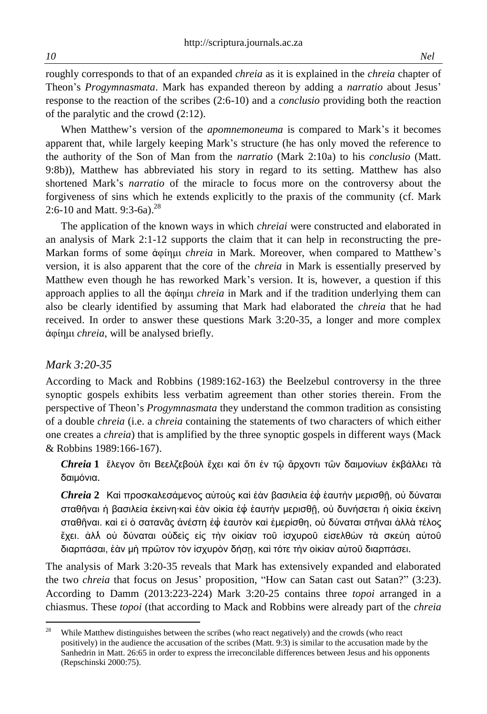roughly corresponds to that of an expanded *chreia* as it is explained in the *chreia* chapter of Theon's *Progymnasmata*. Mark has expanded thereon by adding a *narratio* about Jesus' response to the reaction of the scribes (2:6-10) and a *conclusio* providing both the reaction of the paralytic and the crowd (2:12).

When Matthew's version of the *apomnemoneuma* is compared to Mark's it becomes apparent that, while largely keeping Mark's structure (he has only moved the reference to the authority of the Son of Man from the *narratio* (Mark 2:10a) to his *conclusio* (Matt. 9:8b)), Matthew has abbreviated his story in regard to its setting. Matthew has also shortened Mark's *narratio* of the miracle to focus more on the controversy about the forgiveness of sins which he extends explicitly to the praxis of the community (cf. Mark 2:6-10 and Matt. 9:3-6a).<sup>28</sup>

The application of the known ways in which *chreiai* were constructed and elaborated in an analysis of Mark 2:1-12 supports the claim that it can help in reconstructing the pre-Markan forms of some ἀφίημι *chreia* in Mark. Moreover, when compared to Matthew's version, it is also apparent that the core of the *chreia* in Mark is essentially preserved by Matthew even though he has reworked Mark's version. It is, however, a question if this approach applies to all the ἀφίημι *chreia* in Mark and if the tradition underlying them can also be clearly identified by assuming that Mark had elaborated the *chreia* that he had received. In order to answer these questions Mark 3:20-35, a longer and more complex ἀφίημι *chreia*, will be analysed briefly.

#### *Mark 3:20-35*

According to Mack and Robbins (1989:162-163) the Beelzebul controversy in the three synoptic gospels exhibits less verbatim agreement than other stories therein. From the perspective of Theon's *Progymnasmata* they understand the common tradition as consisting of a double *chreia* (i.e. a *chreia* containing the statements of two characters of which either one creates a *chreia*) that is amplified by the three synoptic gospels in different ways (Mack & Robbins 1989:166-167).

*Chreia* **1** ἔλεγον ὅτι Βεελζεβοὺλ ἔχει καὶ ὅτι ἐν τῷ ἄρχοντι τῶν δαιμονίων ἐκβάλλει τὰ δαιμόνια.

*Chreia* **2** Καὶ προσκαλεσάμενος αὐτοὺς καὶ ἐὰν βασιλεία ἐ ἑαυτὴν μερισθῇ, οὐ δύναται σταθῆναι ή βασιλεία ἐκείνη·καὶ ἐὰν οἰκία ἐφ ἑαυτὴν μερισθῆ, οὐ δυνήσεται ή οἰκία ἐκείνη σταθῆναι. καὶ εἰ ὁ σατανᾶς ἀνέστη ἐ ἑαυτὸν καὶ ἐμερίσθη, οὐ δύναται στῆναι ἀλλὰ τέλος ἔχει. ἀλλ οὐ δύναται οὐδεὶς εἰς τὴν οἰκίαν τοῦ ἰσχυροῦ εἰσελθὼν τὰ σκεύη αὐτοῦ διαρπάσαι, ἐὰν μὴ πρῶτον τὸν ἰσχυρὸν δήσῃ, καὶ τότε τὴν οἰκίαν αὐτοῦ διαρπάσει.

The analysis of Mark 3:20-35 reveals that Mark has extensively expanded and elaborated the two *chreia* that focus on Jesus' proposition, "How can Satan cast out Satan?" (3:23). According to Damm (2013:223-224) Mark 3:20-25 contains three *topoi* arranged in a chiasmus. These *topoi* (that according to Mack and Robbins were already part of the *chreia*

<sup>28</sup> <sup>28</sup> While Matthew distinguishes between the scribes (who react negatively) and the crowds (who react positively) in the audience the accusation of the scribes (Matt. 9:3) is similar to the accusation made by the Sanhedrin in Matt. 26:65 in order to express the irreconcilable differences between Jesus and his opponents (Repschinski 2000:75).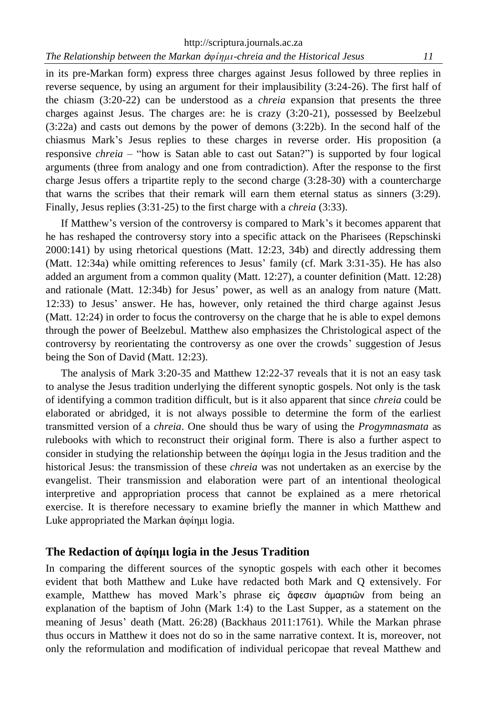in its pre-Markan form) express three charges against Jesus followed by three replies in reverse sequence, by using an argument for their implausibility (3:24-26). The first half of the chiasm (3:20-22) can be understood as a *chreia* expansion that presents the three charges against Jesus. The charges are: he is crazy (3:20-21), possessed by Beelzebul (3:22a) and casts out demons by the power of demons (3:22b). In the second half of the chiasmus Mark's Jesus replies to these charges in reverse order. His proposition (a responsive *chreia* – "how is Satan able to cast out Satan?") is supported by four logical arguments (three from analogy and one from contradiction). After the response to the first charge Jesus offers a tripartite reply to the second charge (3:28-30) with a countercharge that warns the scribes that their remark will earn them eternal status as sinners (3:29). Finally, Jesus replies (3:31-25) to the first charge with a *chreia* (3:33).

If Matthew's version of the controversy is compared to Mark's it becomes apparent that he has reshaped the controversy story into a specific attack on the Pharisees (Repschinski 2000:141) by using rhetorical questions (Matt. 12:23, 34b) and directly addressing them (Matt. 12:34a) while omitting references to Jesus' family (cf. Mark 3:31-35). He has also added an argument from a common quality (Matt. 12:27), a counter definition (Matt. 12:28) and rationale (Matt. 12:34b) for Jesus' power, as well as an analogy from nature (Matt. 12:33) to Jesus' answer. He has, however, only retained the third charge against Jesus (Matt. 12:24) in order to focus the controversy on the charge that he is able to expel demons through the power of Beelzebul. Matthew also emphasizes the Christological aspect of the controversy by reorientating the controversy as one over the crowds' suggestion of Jesus being the Son of David (Matt. 12:23).

The analysis of Mark 3:20-35 and Matthew 12:22-37 reveals that it is not an easy task to analyse the Jesus tradition underlying the different synoptic gospels. Not only is the task of identifying a common tradition difficult, but is it also apparent that since *chreia* could be elaborated or abridged, it is not always possible to determine the form of the earliest transmitted version of a *chreia*. One should thus be wary of using the *Progymnasmata* as rulebooks with which to reconstruct their original form. There is also a further aspect to consider in studying the relationship between the ἀφίημι logia in the Jesus tradition and the historical Jesus: the transmission of these *chreia* was not undertaken as an exercise by the evangelist. Their transmission and elaboration were part of an intentional theological interpretive and appropriation process that cannot be explained as a mere rhetorical exercise. It is therefore necessary to examine briefly the manner in which Matthew and Luke appropriated the Markan ἀφίημι logia.

# **The Redaction of** ἀ**φίημι logia in the Jesus Tradition**

In comparing the different sources of the synoptic gospels with each other it becomes evident that both Matthew and Luke have redacted both Mark and Q extensively. For example, Matthew has moved Mark's phrase είς ἄφεσιν άμαρτιῶν from being an explanation of the baptism of John (Mark 1:4) to the Last Supper, as a statement on the meaning of Jesus' death (Matt. 26:28) (Backhaus 2011:1761). While the Markan phrase thus occurs in Matthew it does not do so in the same narrative context. It is, moreover, not only the reformulation and modification of individual pericopae that reveal Matthew and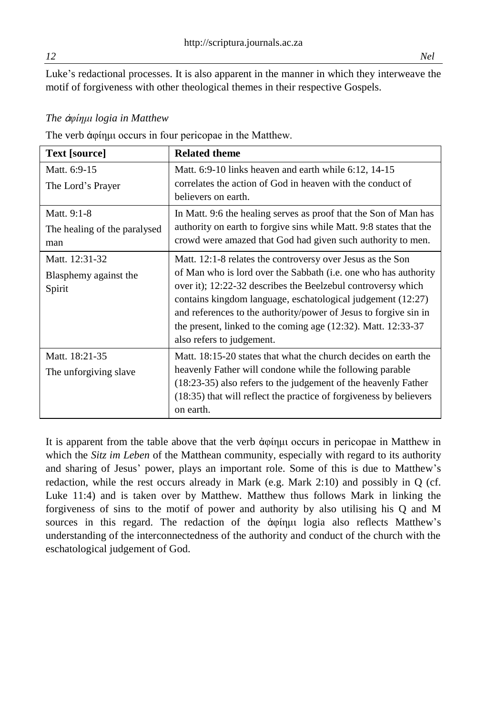Luke's redactional processes. It is also apparent in the manner in which they interweave the motif of forgiveness with other theological themes in their respective Gospels.

## *The* ἀ*φίημι logia in Matthew*

The verb ἀφίημι occurs in four pericopae in the Matthew.

| <b>Text</b> [source]                               | <b>Related theme</b>                                                                                                                                                                                                                                                                                                                                                                                                              |
|----------------------------------------------------|-----------------------------------------------------------------------------------------------------------------------------------------------------------------------------------------------------------------------------------------------------------------------------------------------------------------------------------------------------------------------------------------------------------------------------------|
| Matt. 6:9-15<br>The Lord's Prayer                  | Matt. $6:9-10$ links heaven and earth while $6:12$ , $14-15$<br>correlates the action of God in heaven with the conduct of<br>believers on earth.                                                                                                                                                                                                                                                                                 |
| Matt. 9:1-8<br>The healing of the paralysed<br>man | In Matt. 9:6 the healing serves as proof that the Son of Man has<br>authority on earth to forgive sins while Matt. 9:8 states that the<br>crowd were amazed that God had given such authority to men.                                                                                                                                                                                                                             |
| Matt. 12:31-32<br>Blasphemy against the<br>Spirit  | Matt. 12:1-8 relates the controversy over Jesus as the Son<br>of Man who is lord over the Sabbath (i.e. one who has authority<br>over it); 12:22-32 describes the Beelzebul controversy which<br>contains kingdom language, eschatological judgement (12:27)<br>and references to the authority/power of Jesus to forgive sin in<br>the present, linked to the coming age $(12:32)$ . Matt. 12:33-37<br>also refers to judgement. |
| Matt. 18:21-35<br>The unforgiving slave            | Matt. 18:15-20 states that what the church decides on earth the<br>heavenly Father will condone while the following parable<br>(18:23-35) also refers to the judgement of the heavenly Father<br>$(18:35)$ that will reflect the practice of forgiveness by believers<br>on earth.                                                                                                                                                |

It is apparent from the table above that the verb ἀφίημι occurs in pericopae in Matthew in which the *Sitz im Leben* of the Matthean community, especially with regard to its authority and sharing of Jesus' power, plays an important role. Some of this is due to Matthew's redaction, while the rest occurs already in Mark (e.g. Mark 2:10) and possibly in Q (cf. Luke 11:4) and is taken over by Matthew*.* Matthew thus follows Mark in linking the forgiveness of sins to the motif of power and authority by also utilising his Q and M sources in this regard. The redaction of the ἀφίημι logia also reflects Matthew's understanding of the interconnectedness of the authority and conduct of the church with the eschatological judgement of God.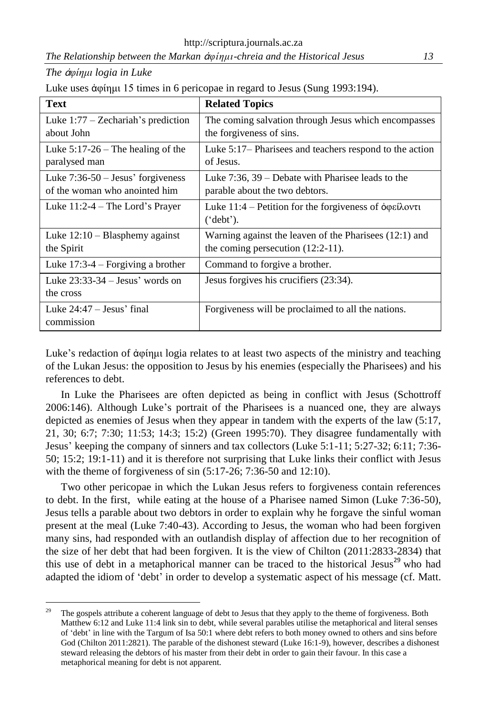*The Relationship between the Markan* ἀ*φίημι-chreia and the Historical Jesus 13*

*The* ἀ*φίημι logia in Luke*

| Luke uses ἀφίημι 15 times in 6 pericopae in regard to Jesus (Sung 1993:194). |  |  |  |
|------------------------------------------------------------------------------|--|--|--|
|------------------------------------------------------------------------------|--|--|--|

| <b>Text</b>                                                          | <b>Related Topics</b>                                                                                                         |
|----------------------------------------------------------------------|-------------------------------------------------------------------------------------------------------------------------------|
| Luke $1:77$ – Zechariah's prediction<br>about John                   | The coming salvation through Jesus which encompasses<br>the forgiveness of sins.                                              |
| Luke $5:17-26$ – The healing of the<br>paralysed man                 | Luke 5:17– Pharisees and teachers respond to the action<br>of Jesus.                                                          |
| Luke $7:36-50$ – Jesus' forgiveness<br>of the woman who anointed him | Luke $7:36$ , $39$ – Debate with Pharisee leads to the<br>parable about the two debtors.                                      |
| Luke 11:2-4 – The Lord's Prayer                                      | Luke $11:4$ – Petition for the forgiveness of $\dot{\phi}$ $\phi \epsilon \hat{i} \lambda \phi \nu \tau \hat{i}$<br>('debt'). |
| Luke $12:10 - Blasphemy against$<br>the Spirit                       | Warning against the leaven of the Pharisees (12:1) and<br>the coming persecution $(12:2-11)$ .                                |
| Luke $17:3-4$ – Forgiving a brother                                  | Command to forgive a brother.                                                                                                 |
| Luke $23:33-34$ – Jesus' words on<br>the cross                       | Jesus forgives his crucifiers (23:34).                                                                                        |
| Luke $24:47 - Jesus'$ final<br>commission                            | Forgiveness will be proclaimed to all the nations.                                                                            |

Luke's redaction of ἀφίημι logia relates to at least two aspects of the ministry and teaching of the Lukan Jesus: the opposition to Jesus by his enemies (especially the Pharisees) and his references to debt.

In Luke the Pharisees are often depicted as being in conflict with Jesus (Schottroff 2006:146). Although Luke's portrait of the Pharisees is a nuanced one, they are always depicted as enemies of Jesus when they appear in tandem with the experts of the law (5:17, 21, 30; 6:7; 7:30; 11:53; 14:3; 15:2) (Green 1995:70). They disagree fundamentally with Jesus' keeping the company of sinners and tax collectors (Luke 5:1-11; 5:27-32; 6:11; 7:36- 50; 15:2; 19:1-11) and it is therefore not surprising that Luke links their conflict with Jesus with the theme of forgiveness of sin (5:17-26; 7:36-50 and 12:10).

Two other pericopae in which the Lukan Jesus refers to forgiveness contain references to debt. In the first, while eating at the house of a Pharisee named Simon (Luke 7:36-50), Jesus tells a parable about two debtors in order to explain why he forgave the sinful woman present at the meal (Luke 7:40-43). According to Jesus, the woman who had been forgiven many sins, had responded with an outlandish display of affection due to her recognition of the size of her debt that had been forgiven. It is the view of Chilton (2011:2833-2834) that this use of debt in a metaphorical manner can be traced to the historical Jesus $^{29}$  who had adapted the idiom of 'debt' in order to develop a systematic aspect of his message (cf. Matt.

<sup>29</sup> <sup>29</sup> The gospels attribute a coherent language of debt to Jesus that they apply to the theme of forgiveness. Both Matthew 6:12 and Luke 11:4 link sin to debt, while several parables utilise the metaphorical and literal senses of 'debt' in line with the Targum of Isa 50:1 where debt refers to both money owned to others and sins before God (Chilton 2011:2821). The parable of the dishonest steward (Luke 16:1-9), however, describes a dishonest steward releasing the debtors of his master from their debt in order to gain their favour. In this case a metaphorical meaning for debt is not apparent.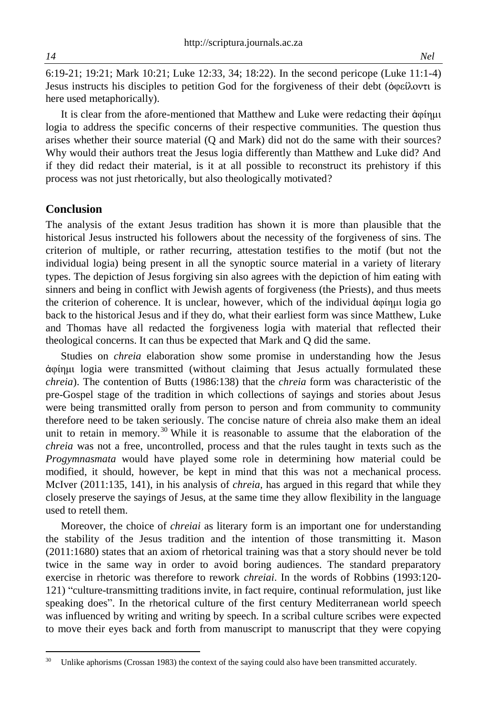6:19-21; 19:21; Mark 10:21; Luke 12:33, 34; 18:22). In the second pericope (Luke 11:1-4) Jesus instructs his disciples to petition God for the forgiveness of their debt (ὀφείλοντι is here used metaphorically).

It is clear from the afore-mentioned that Matthew and Luke were redacting their ἀφίημι logia to address the specific concerns of their respective communities. The question thus arises whether their source material (Q and Mark) did not do the same with their sources? Why would their authors treat the Jesus logia differently than Matthew and Luke did? And if they did redact their material, is it at all possible to reconstruct its prehistory if this process was not just rhetorically, but also theologically motivated?

## **Conclusion**

 $\ddot{\phantom{a}}$ 

The analysis of the extant Jesus tradition has shown it is more than plausible that the historical Jesus instructed his followers about the necessity of the forgiveness of sins. The criterion of multiple, or rather recurring, attestation testifies to the motif (but not the individual logia) being present in all the synoptic source material in a variety of literary types. The depiction of Jesus forgiving sin also agrees with the depiction of him eating with sinners and being in conflict with Jewish agents of forgiveness (the Priests), and thus meets the criterion of coherence. It is unclear, however, which of the individual ἀφίημι logia go back to the historical Jesus and if they do, what their earliest form was since Matthew, Luke and Thomas have all redacted the forgiveness logia with material that reflected their theological concerns. It can thus be expected that Mark and Q did the same.

Studies on *chreia* elaboration show some promise in understanding how the Jesus ἀφίημι logia were transmitted (without claiming that Jesus actually formulated these *chreia*). The contention of Butts (1986:138) that the *chreia* form was characteristic of the pre-Gospel stage of the tradition in which collections of sayings and stories about Jesus were being transmitted orally from person to person and from community to community therefore need to be taken seriously. The concise nature of chreia also make them an ideal unit to retain in memory.<sup>30</sup> While it is reasonable to assume that the elaboration of the *chreia* was not a free, uncontrolled, process and that the rules taught in texts such as the *Progymnasmata* would have played some role in determining how material could be modified, it should, however, be kept in mind that this was not a mechanical process. McIver (2011:135, 141), in his analysis of *chreia,* has argued in this regard that while they closely preserve the sayings of Jesus, at the same time they allow flexibility in the language used to retell them.

Moreover, the choice of *chreiai* as literary form is an important one for understanding the stability of the Jesus tradition and the intention of those transmitting it. Mason (2011:1680) states that an axiom of rhetorical training was that a story should never be told twice in the same way in order to avoid boring audiences. The standard preparatory exercise in rhetoric was therefore to rework *chreiai*. In the words of Robbins (1993:120- 121) "culture-transmitting traditions invite, in fact require, continual reformulation, just like speaking does". In the rhetorical culture of the first century Mediterranean world speech was influenced by writing and writing by speech. In a scribal culture scribes were expected to move their eyes back and forth from manuscript to manuscript that they were copying

<sup>&</sup>lt;sup>30</sup> Unlike aphorisms (Crossan 1983) the context of the saying could also have been transmitted accurately.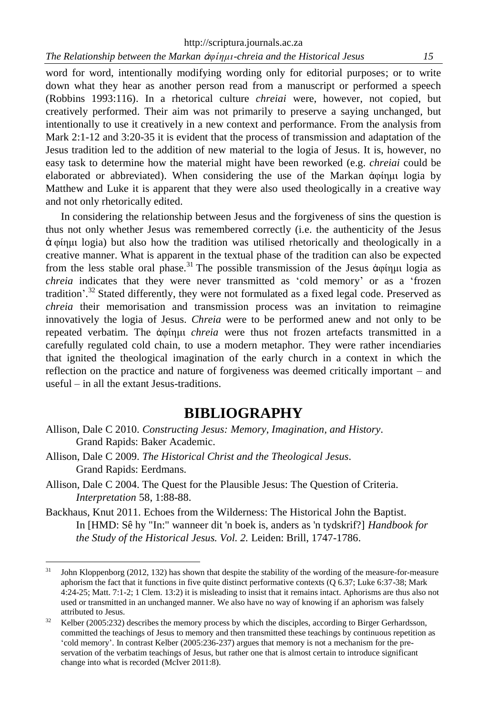http://scriptura.journals.ac.za *The Relationship between the Markan* ἀ*φίημι-chreia and the Historical Jesus 15*

word for word, intentionally modifying wording only for editorial purposes; or to write down what they hear as another person read from a manuscript or performed a speech (Robbins 1993:116). In a rhetorical culture *chreiai* were, however, not copied, but creatively performed. Their aim was not primarily to preserve a saying unchanged, but intentionally to use it creatively in a new context and performance. From the analysis from Mark 2:1-12 and 3:20-35 it is evident that the process of transmission and adaptation of the Jesus tradition led to the addition of new material to the logia of Jesus. It is, however, no easy task to determine how the material might have been reworked (e.g. *chreiai* could be elaborated or abbreviated). When considering the use of the Markan ἀφίημι logia by Matthew and Luke it is apparent that they were also used theologically in a creative way and not only rhetorically edited.

In considering the relationship between Jesus and the forgiveness of sins the question is thus not only whether Jesus was remembered correctly (i.e. the authenticity of the Jesus ἀ φίημι logia) but also how the tradition was utilised rhetorically and theologically in a creative manner. What is apparent in the textual phase of the tradition can also be expected from the less stable oral phase.<sup>31</sup> The possible transmission of the Jesus άφίημι logia as *chreia* indicates that they were never transmitted as 'cold memory' or as a 'frozen tradition'.<sup>32</sup> Stated differently, they were not formulated as a fixed legal code. Preserved as *chreia* their memorisation and transmission process was an invitation to reimagine innovatively the logia of Jesus. *Chreia* were to be performed anew and not only to be repeated verbatim. The ἀφίημι *chreia* were thus not frozen artefacts transmitted in a carefully regulated cold chain, to use a modern metaphor. They were rather incendiaries that ignited the theological imagination of the early church in a context in which the reflection on the practice and nature of forgiveness was deemed critically important – and useful – in all the extant Jesus-traditions.

# **BIBLIOGRAPHY**

- Allison, Dale C 2010. *Constructing Jesus: Memory, Imagination, and History*. Grand Rapids: Baker Academic.
- Allison, Dale C 2009. *The Historical Christ and the Theological Jesus*. Grand Rapids: Eerdmans.
- Allison, Dale C 2004. The Quest for the Plausible Jesus: The Question of Criteria. *Interpretation* 58, 1:88-88.
- Backhaus, Knut 2011. Echoes from the Wilderness: The Historical John the Baptist. In [HMD: Sê hy "In:" wanneer dit 'n boek is, anders as 'n tydskrif?] *Handbook for the Study of the Historical Jesus. Vol. 2.* Leiden: Brill, 1747-1786.

 $31$ <sup>31</sup> John Kloppenborg (2012, 132) has shown that despite the stability of the wording of the measure-for-measure aphorism the fact that it functions in five quite distinct performative contexts (Q 6.37; Luke 6:37-38; Mark 4:24-25; Matt. 7:1-2; 1 Clem. 13:2) it is misleading to insist that it remains intact. Aphorisms are thus also not used or transmitted in an unchanged manner. We also have no way of knowing if an aphorism was falsely attributed to Jesus.

<sup>&</sup>lt;sup>32</sup> Kelber (2005:232) describes the memory process by which the disciples, according to Birger Gerhardsson, committed the teachings of Jesus to memory and then transmitted these teachings by continuous repetition as 'cold memory'. In contrast Kelber (2005:236-237) argues that memory is not a mechanism for the preservation of the verbatim teachings of Jesus, but rather one that is almost certain to introduce significant change into what is recorded (McIver 2011:8).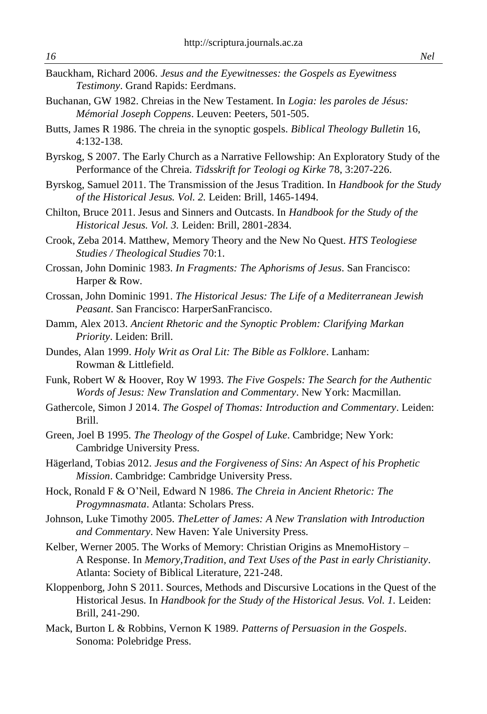- Bauckham, Richard 2006. *Jesus and the Eyewitnesses: the Gospels as Eyewitness Testimony*. Grand Rapids: Eerdmans.
- Buchanan, GW 1982. Chreias in the New Testament. In *Logia: les paroles de Jésus: Mémorial Joseph Coppens*. Leuven: Peeters, 501-505.
- Butts, James R 1986. The chreia in the synoptic gospels. *Biblical Theology Bulletin* 16, 4:132-138.
- Byrskog, S 2007. The Early Church as a Narrative Fellowship: An Exploratory Study of the Performance of the Chreia. *Tidsskrift for Teologi og Kirke* 78, 3:207-226.
- Byrskog, Samuel 2011. The Transmission of the Jesus Tradition. In *Handbook for the Study of the Historical Jesus. Vol. 2.* Leiden: Brill, 1465-1494.
- Chilton, Bruce 2011. Jesus and Sinners and Outcasts. In *Handbook for the Study of the Historical Jesus. Vol. 3.* Leiden: Brill, 2801-2834.
- Crook, Zeba 2014. Matthew, Memory Theory and the New No Quest. *HTS Teologiese Studies / Theological Studies* 70:1.
- Crossan, John Dominic 1983. *In Fragments: The Aphorisms of Jesus*. San Francisco: Harper & Row.
- Crossan, John Dominic 1991. *The Historical Jesus: The Life of a Mediterranean Jewish Peasant*. San Francisco: HarperSanFrancisco.
- Damm, Alex 2013. *Ancient Rhetoric and the Synoptic Problem: Clarifying Markan Priority*. Leiden: Brill.
- Dundes, Alan 1999. *Holy Writ as Oral Lit: The Bible as Folklore*. Lanham: Rowman & Littlefield.
- Funk, Robert W & Hoover, Roy W 1993. *The Five Gospels: The Search for the Authentic Words of Jesus: New Translation and Commentary*. New York: Macmillan.
- Gathercole, Simon J 2014. *The Gospel of Thomas: Introduction and Commentary*. Leiden: Brill.
- Green, Joel B 1995. *The Theology of the Gospel of Luke*. Cambridge; New York: Cambridge University Press.
- Hägerland, Tobias 2012. *Jesus and the Forgiveness of Sins: An Aspect of his Prophetic Mission*. Cambridge: Cambridge University Press.
- Hock, Ronald F & O'Neil, Edward N 1986. *The Chreia in Ancient Rhetoric: The Progymnasmata*. Atlanta: Scholars Press.
- Johnson, Luke Timothy 2005. *TheLetter of James: A New Translation with Introduction and Commentary*. New Haven: Yale University Press.
- Kelber, Werner 2005. The Works of Memory: Christian Origins as MnemoHistory A Response. In *Memory,Tradition, and Text Uses of the Past in early Christianity*. Atlanta: Society of Biblical Literature, 221-248.
- Kloppenborg, John S 2011. Sources, Methods and Discursive Locations in the Quest of the Historical Jesus. In *Handbook for the Study of the Historical Jesus. Vol. 1.* Leiden: Brill, 241-290.
- Mack, Burton L & Robbins, Vernon K 1989. *Patterns of Persuasion in the Gospels*. Sonoma: Polebridge Press.